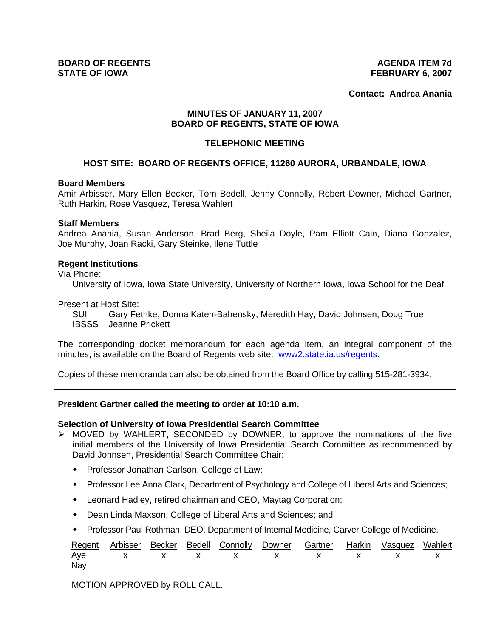**Contact: Andrea Anania**

# **MINUTES OF JANUARY 11, 2007 BOARD OF REGENTS, STATE OF IOWA**

## **TELEPHONIC MEETING**

## **HOST SITE: BOARD OF REGENTS OFFICE, 11260 AURORA, URBANDALE, IOWA**

### **Board Members**

Amir Arbisser, Mary Ellen Becker, Tom Bedell, Jenny Connolly, Robert Downer, Michael Gartner, Ruth Harkin, Rose Vasquez, Teresa Wahlert

#### **Staff Members**

Andrea Anania, Susan Anderson, Brad Berg, Sheila Doyle, Pam Elliott Cain, Diana Gonzalez, Joe Murphy, Joan Racki, Gary Steinke, Ilene Tuttle

#### **Regent Institutions**

Via Phone:

University of Iowa, Iowa State University, University of Northern Iowa, Iowa School for the Deaf

Present at Host Site:

 SUI Gary Fethke, Donna Katen-Bahensky, Meredith Hay, David Johnsen, Doug True IBSSS Jeanne Prickett

The corresponding docket memorandum for each agenda item, an integral component of the minutes, is available on the Board of Regents web site: www2.state.ia.us/regents.

Copies of these memoranda can also be obtained from the Board Office by calling 515-281-3934.

#### **President Gartner called the meeting to order at 10:10 a.m.**

#### **Selection of University of Iowa Presidential Search Committee**

- ¾ MOVED by WAHLERT, SECONDED by DOWNER, to approve the nominations of the five initial members of the University of Iowa Presidential Search Committee as recommended by David Johnsen, Presidential Search Committee Chair:
	- Professor Jonathan Carlson, College of Law;
	- Professor Lee Anna Clark, Department of Psychology and College of Liberal Arts and Sciences;
	- Leonard Hadley, retired chairman and CEO, Maytag Corporation;
	- Dean Linda Maxson, College of Liberal Arts and Sciences; and
	- Professor Paul Rothman, DEO, Department of Internal Medicine, Carver College of Medicine.

|     |  |  |  | Regent Arbisser Becker Bedell Connolly Downer Gartner Harkin Vasquez Wahlert |  |
|-----|--|--|--|------------------------------------------------------------------------------|--|
|     |  |  |  | Aye x x x x x x x x x x                                                      |  |
| Nay |  |  |  |                                                                              |  |

MOTION APPROVED by ROLL CALL.